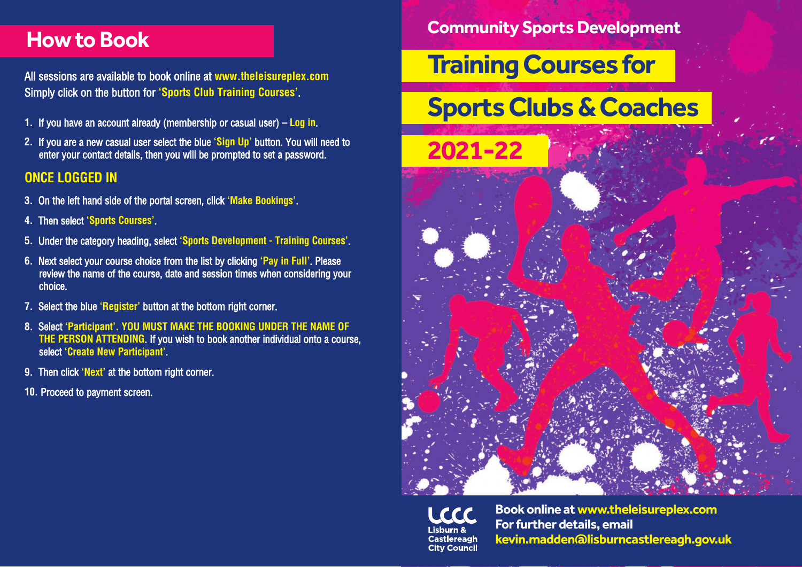# **How to Book**

All sessions are available to book online at **www.theleisureplex.com** Simply click on the button for **'Sports Club Training Courses'**.

- **1.** If you have an account already (membership or casual user) **Log in**.
- **2.** If you are a new casual user select the blue **'Sign Up'** button. You will need to enter your contact details, then you will be prompted to set a password.

# **ONCE LOGGED IN**

- **3.** On the left hand side of the portal screen, click **'Make Bookings'**.
- **4.** Then select **'Sports Courses'**.
- **5.** Under the category heading, select **'Sports Development Training Courses'**.
- **6.** Next select your course choice from the list by clicking **'Pay in Full'**. Please review the name of the course, date and session times when considering your choice.
- **7.** Select the blue **'Register'** button at the bottom right corner.
- **8.** Select **'Participant'. YOU MUST MAKE THE BOOKING UNDER THE NAME OF THE PERSON ATTENDING**. If you wish to book another individual onto a course, select **'Create New Participant'**.
- **9.** Then click **'Next'** at the bottom right corner.
- **10.** Proceed to payment screen.

# **Community Sports Development**

# **Training Courses for**

# **Sports Clubs & Coaches**

**2021-22**





**Book online at www.theleisureplex.com For further details, email kevin.madden@lisburncastlereagh.gov.uk**